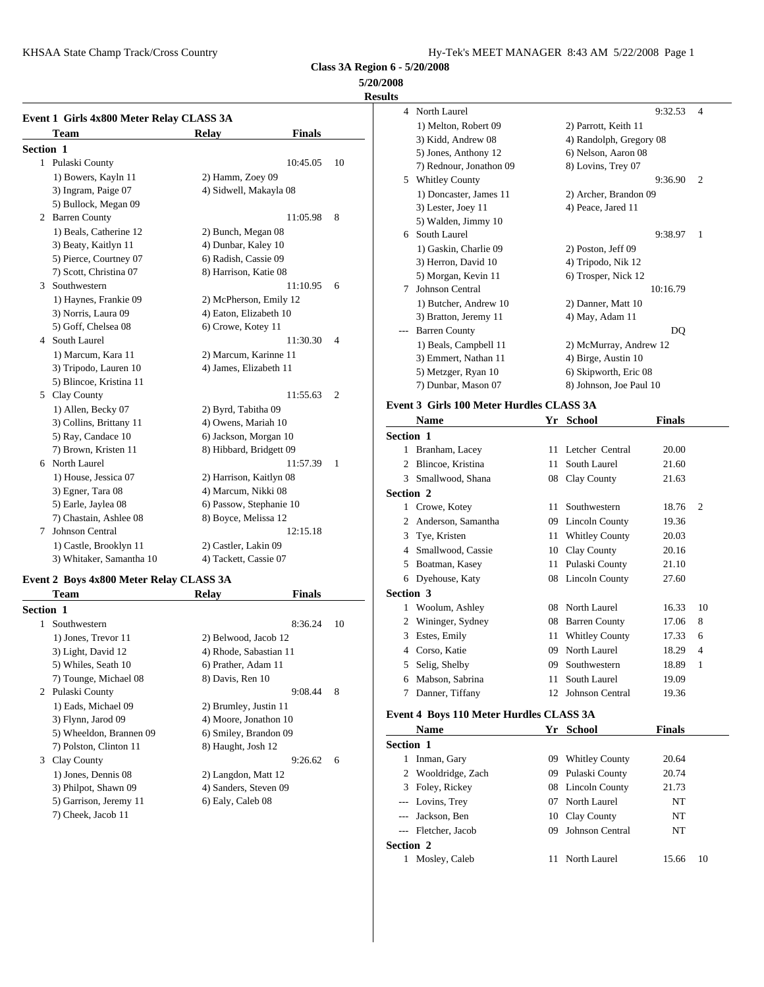KHSAA State Champ Track/Cross Country The Country Hy-Tek's MEET MANAGER 8:43 AM 5/22/2008 Page 1

**Class 3A Region 6 - 5/20/2008**

#### **5/20/2008**

**Results**

|           | Event 1 Girls 4x800 Meter Relay CLASS 3A |                         |               |                | $1)$ Me                        |
|-----------|------------------------------------------|-------------------------|---------------|----------------|--------------------------------|
|           | <b>Team</b>                              | <b>Relay</b>            | <b>Finals</b> |                | $3)$ Kio                       |
| Section 1 |                                          |                         |               |                | $5)$ Jor                       |
|           | 1 Pulaski County                         |                         | 10:45.05      | 10             | 7) Re                          |
|           | 1) Bowers, Kayln 11                      | 2) Hamm, Zoey 09        |               |                | Whitl<br>5                     |
|           | 3) Ingram, Paige 07                      | 4) Sidwell, Makayla 08  |               |                | $1)$ Do                        |
|           | 5) Bullock, Megan 09                     |                         |               |                | $3)$ Les                       |
|           | 2 Barren County                          |                         | 11:05.98      | 8              | 5) $W_6$                       |
|           | 1) Beals, Catherine 12                   | 2) Bunch, Megan 08      |               |                | South<br>6                     |
|           | 3) Beaty, Kaitlyn 11                     | 4) Dunbar, Kaley 10     |               |                | $1)$ Ga                        |
|           | 5) Pierce, Courtney 07                   | 6) Radish, Cassie 09    |               |                | $3)$ He                        |
|           | 7) Scott, Christina 07                   | 8) Harrison, Katie 08   |               |                | 5) Mo                          |
| 3         | Southwestern                             |                         | 11:10.95      | 6              | Johns<br>7                     |
|           | 1) Haynes, Frankie 09                    | 2) McPherson, Emily 12  |               |                | $1)$ Bu                        |
|           | 3) Norris, Laura 09                      | 4) Eaton, Elizabeth 10  |               |                | $3)$ Bra                       |
|           | 5) Goff, Chelsea 08                      | 6) Crowe, Kotey 11      |               |                | Barre                          |
|           | 4 South Laurel                           |                         | 11:30.30      | $\overline{4}$ | $1)$ Be                        |
|           | 1) Marcum, Kara 11                       | 2) Marcum, Karinne 11   |               |                | $3)$ Em                        |
|           | 3) Tripodo, Lauren 10                    | 4) James, Elizabeth 11  |               |                | 5) Me                          |
|           | 5) Blincoe, Kristina 11                  |                         |               |                | 7) Du                          |
|           | 5 Clay County                            |                         | 11:55.63      | $\overline{2}$ |                                |
|           | 1) Allen, Becky 07                       | 2) Byrd, Tabitha 09     |               |                | Event 3 Gi                     |
|           | 3) Collins, Brittany 11                  | 4) Owens, Mariah 10     |               |                | Nam                            |
|           | 5) Ray, Candace 10                       | 6) Jackson, Morgan 10   |               |                | Section 1                      |
|           | 7) Brown, Kristen 11                     | 8) Hibbard, Bridgett 09 |               |                | <b>Brank</b><br>1.             |
| 6         | North Laurel                             |                         | 11:57.39      | 1              | <b>Blinc</b><br>$\overline{c}$ |
|           | 1) House, Jessica 07                     | 2) Harrison, Kaitlyn 08 |               |                | Small<br>3                     |
|           | 3) Egner, Tara 08                        | 4) Marcum, Nikki 08     |               |                | Section 2                      |
|           | 5) Earle, Jaylea 08                      | 6) Passow, Stephanie 10 |               |                | Crow<br>$\mathbf{1}$           |
|           | 7) Chastain, Ashlee 08                   | 8) Boyce, Melissa 12    |               |                | 2<br>Ander                     |
| 7         | <b>Johnson Central</b>                   |                         | 12:15.18      |                | Tye, I<br>3                    |
|           | 1) Castle, Brooklyn 11                   | 2) Castler, Lakin 09    |               |                | Small<br>4                     |
|           | 3) Whitaker, Samantha 10                 | 4) Tackett, Cassie 07   |               |                | 5.<br>Ro <sub>atn</sub>        |

#### **Event 2 Boys 4x800 Meter Relay CLASS 3A**

|                  | <b>Team</b>             | Relay                  | <b>Finals</b> |    | <b>Section 3</b>            |              |
|------------------|-------------------------|------------------------|---------------|----|-----------------------------|--------------|
| <b>Section 1</b> |                         |                        |               |    | 1                           | Wool         |
| 1                | Southwestern            |                        | 8:36.24       | 10 | 2                           | Winir        |
|                  | 1) Jones, Trevor 11     | 2) Belwood, Jacob 12   |               |    | 3                           | Estes,       |
|                  | 3) Light, David 12      | 4) Rhode, Sabastian 11 |               |    | 4                           | Corso        |
|                  | 5) Whiles, Seath 10     | 6) Prather, Adam 11    |               |    | 5                           | Selig,       |
|                  | 7) Tounge, Michael 08   | 8) Davis, Ren 10       |               |    | 6                           | Mabs         |
| 2                | Pulaski County          |                        | 9:08.44       | 8  | 7                           | Dann         |
|                  | 1) Eads, Michael 09     | 2) Brumley, Justin 11  |               |    |                             |              |
|                  | 3) Flynn, Jarod 09      | 4) Moore, Jonathon 10  |               |    | Event 4 Bo                  |              |
|                  | 5) Wheeldon, Brannen 09 | 6) Smiley, Brandon 09  |               |    |                             | <b>Nam</b>   |
|                  | 7) Polston, Clinton 11  | 8) Haught, Josh 12     |               |    | Section 1                   |              |
| 3                | Clay County             |                        | 9:26.62       | 6  |                             | Inmar        |
|                  | 1) Jones, Dennis 08     | 2) Langdon, Matt 12    |               |    | $\mathcal{D}_{\mathcal{L}}$ | Wool         |
|                  | 3) Philpot, Shawn 09    | 4) Sanders, Steven 09  |               |    | 3                           | Foley        |
|                  | 5) Garrison, Jeremy 11  | 6) Ealy, Caleb 08      |               |    |                             | Lovin        |
|                  | 7) Cheek, Jacob 11      |                        |               |    | ---                         | <b>Jacks</b> |

|   | 4 North Laurel          |                         | 9:32.53  | $\overline{\mathcal{A}}$ |
|---|-------------------------|-------------------------|----------|--------------------------|
|   | 1) Melton, Robert 09    | 2) Parrott, Keith 11    |          |                          |
|   | 3) Kidd, Andrew 08      | 4) Randolph, Gregory 08 |          |                          |
|   | 5) Jones, Anthony 12    | 6) Nelson, Aaron 08     |          |                          |
|   | 7) Rednour, Jonathon 09 | 8) Lovins, Trey 07      |          |                          |
| 5 | <b>Whitley County</b>   |                         | 9:36.90  | 2                        |
|   | 1) Doncaster, James 11  | 2) Archer, Brandon 09   |          |                          |
|   | 3) Lester, Joey 11      | 4) Peace, Jared 11      |          |                          |
|   | 5) Walden, Jimmy 10     |                         |          |                          |
| 6 | South Laurel            |                         | 9:38.97  | 1                        |
|   | 1) Gaskin, Charlie 09   | 2) Poston, Jeff 09      |          |                          |
|   | 3) Herron, David 10     | 4) Tripodo, Nik 12      |          |                          |
|   | 5) Morgan, Kevin 11     | 6) Trosper, Nick 12     |          |                          |
| 7 | <b>Johnson Central</b>  |                         | 10:16.79 |                          |
|   | 1) Butcher, Andrew 10   | 2) Danner, Matt 10      |          |                          |
|   | 3) Bratton, Jeremy 11   | 4) May, Adam 11         |          |                          |
|   | <b>Barren County</b>    |                         | DQ       |                          |
|   | 1) Beals, Campbell 11   | 2) McMurray, Andrew 12  |          |                          |
|   | 3) Emmert, Nathan 11    | 4) Birge, Austin 10     |          |                          |
|   | 5) Metzger, Ryan 10     | 6) Skipworth, Eric 08   |          |                          |
|   | 7) Dunbar, Mason 07     | 8) Johnson, Joe Paul 10 |          |                          |
|   |                         |                         |          |                          |

### **Event 3 Girls 100 Meter Hurdles CLASS 3A**

|                  | Name               | Yr | <b>School</b>         | Finals |                |
|------------------|--------------------|----|-----------------------|--------|----------------|
| <b>Section 1</b> |                    |    |                       |        |                |
|                  | Branham, Lacey     |    | 11 Letcher Central    | 20.00  |                |
| 2                | Blincoe, Kristina  | 11 | South Laurel          | 21.60  |                |
| 3                | Smallwood, Shana   | 08 | Clay County           | 21.63  |                |
| <b>Section 2</b> |                    |    |                       |        |                |
|                  | Crowe, Kotey       | 11 | Southwestern          | 18.76  | $\overline{2}$ |
| 2                | Anderson, Samantha | 09 | Lincoln County        | 19.36  |                |
| 3                | Tye, Kristen       | 11 | <b>Whitley County</b> | 20.03  |                |
| 4                | Smallwood, Cassie  | 10 | Clay County           | 20.16  |                |
| 5                | Boatman, Kasey     |    | 11 Pulaski County     | 21.10  |                |
|                  | 6 Dyehouse, Katy   |    | 08 Lincoln County     | 27.60  |                |
| <b>Section 3</b> |                    |    |                       |        |                |
| 1                | Woolum, Ashley     | 08 | North Laurel          | 16.33  | 10             |
| 2                | Wininger, Sydney   | 08 | <b>Barren County</b>  | 17.06  | 8              |
| 3                | Estes, Emily       | 11 | <b>Whitley County</b> | 17.33  | 6              |
| 4                | Corso, Katie       | 09 | North Laurel          | 18.29  | 4              |
| 5                | Selig, Shelby      | 09 | Southwestern          | 18.89  | 1              |
| 6                | Mabson, Sabrina    | 11 | South Laurel          | 19.09  |                |
| 7                | Danner, Tiffany    | 12 | Johnson Central       | 19.36  |                |

#### **Event 4 Boys 110 Meter Hurdles CLASS 3A**

|           | <b>Name</b>         |     | Yr School             | <b>Finals</b> |    |
|-----------|---------------------|-----|-----------------------|---------------|----|
| Section 1 |                     |     |                       |               |    |
| 1         | Inman, Gary         | 09. | <b>Whitley County</b> | 20.64         |    |
|           | 2 Wooldridge, Zach  | 09. | Pulaski County        | 20.74         |    |
|           | 3 Foley, Rickey     |     | 08 Lincoln County     | 21.73         |    |
|           | --- Lovins, Trey    | 07  | North Laurel          | NT            |    |
|           | --- Jackson, Ben    |     | 10 Clay County        | NT            |    |
|           | --- Fletcher, Jacob | 09  | Johnson Central       | NT            |    |
| Section 2 |                     |     |                       |               |    |
|           | Mosley, Caleb       |     | North Laurel          | 15.66         | 10 |
|           |                     |     |                       |               |    |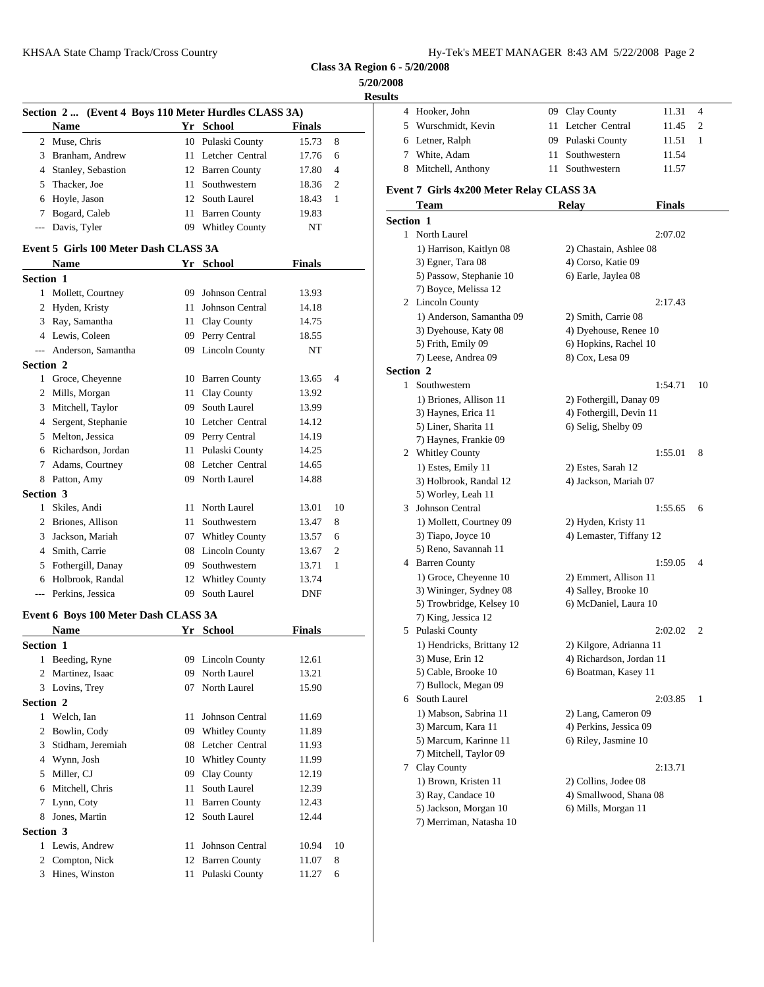**5/20/2008 Results**

|                  |                                                      |    |                                       |                |        | <b>Results</b>        |
|------------------|------------------------------------------------------|----|---------------------------------------|----------------|--------|-----------------------|
|                  | Section 2  (Event 4 Boys 110 Meter Hurdles CLASS 3A) |    |                                       |                |        | 4 Hook                |
|                  | <b>Name</b>                                          |    | Yr School                             | <b>Finals</b>  |        | Wurs<br>5             |
|                  | 2 Muse, Chris                                        |    | 10 Pulaski County                     | 15.73          | 8      | 6 Letne               |
|                  | 3 Branham, Andrew                                    |    | 11 Letcher Central                    | 17.76          | 6      | White<br>7            |
| 4                | Stanley, Sebastion                                   |    | 12 Barren County                      | 17.80          | 4      | Mitch<br>8            |
| 5                | Thacker, Joe                                         |    | 11 Southwestern                       | 18.36          | 2      | Event 7 Gi            |
| 6                | Hoyle, Jason                                         |    | 12 South Laurel                       | 18.43          | 1      | Tean                  |
| 7                | Bogard, Caleb                                        |    | 11 Barren County                      | 19.83          |        | <b>Section 1</b>      |
| $\cdots$         | Davis, Tyler                                         |    | 09 Whitley County                     | NT             |        | 1 North               |
|                  | Event 5 Girls 100 Meter Dash CLASS 3A                |    |                                       |                |        | 1) Ha                 |
|                  |                                                      |    | Yr School                             |                |        | $3)$ Eg               |
|                  | <b>Name</b>                                          |    |                                       | Finals         |        | 5) Pas                |
| <b>Section 1</b> |                                                      |    |                                       |                |        | 7) Bo                 |
|                  | 1 Mollett, Courtney                                  |    | 09 Johnson Central                    | 13.93          |        | 2 Linco               |
|                  | 2 Hyden, Kristy                                      |    | 11 Johnson Central                    | 14.18          |        | 1) An                 |
|                  | 3 Ray, Samantha                                      |    | 11 Clay County                        | 14.75          |        | 3) Dy                 |
|                  | 4 Lewis, Coleen                                      |    | 09 Perry Central                      | 18.55          |        | 5) Fri                |
|                  | --- Anderson, Samantha                               |    | 09 Lincoln County                     | NT             |        | $7)$ Leo              |
| Section 2        |                                                      |    |                                       |                |        | Section 2             |
|                  | 1 Groce, Cheyenne                                    |    | 10 Barren County                      | 13.65          | 4      | $\mathbf{1}$<br>South |
|                  | 2 Mills, Morgan                                      |    | 11 Clay County                        | 13.92          |        | $1)$ Bri              |
|                  | 3 Mitchell, Taylor                                   |    | 09 South Laurel                       | 13.99          |        | 3) Ha                 |
|                  | 4 Sergent, Stephanie                                 |    | 10 Letcher Central                    | 14.12          |        | 5) Lir                |
|                  | 5 Melton, Jessica                                    |    | 09 Perry Central                      | 14.19          |        | 7) Ha                 |
|                  | 6 Richardson, Jordan                                 |    | 11 Pulaski County                     | 14.25          |        | Whitl<br>2            |
| 7                | Adams, Courtney                                      |    | 08 Letcher Central                    | 14.65          |        | $1)$ Est              |
|                  | 8 Patton, Amy                                        |    | 09 North Laurel                       | 14.88          |        | 3) Ho                 |
| <b>Section 3</b> |                                                      |    |                                       |                |        | 5) Wo                 |
|                  | 1 Skiles, Andi                                       |    | 11 North Laurel                       | 13.01          | 10     | 3 Johns               |
|                  | 2 Briones, Allison                                   |    | 11 Southwestern                       | 13.47          | 8      | 1) Mo                 |
|                  | 3 Jackson, Mariah                                    |    | 07 Whitley County                     | 13.57          | 6      | 3) Tia                |
|                  | 4 Smith, Carrie                                      |    | 08 Lincoln County                     | 13.67          | 2      | 5) Re:                |
| 5                | Fothergill, Danay                                    |    | 09 Southwestern                       | 13.71          | 1      | 4 Barre               |
|                  | 6 Holbrook, Randal                                   |    | 12 Whitley County                     | 13.74          |        | 1) Gr                 |
|                  | --- Perkins, Jessica                                 |    | 09 South Laurel                       | DNF            |        | 3) Wi                 |
|                  | Event 6 Boys 100 Meter Dash CLASS 3A                 |    |                                       |                |        | $5)$ Tro<br>7) Kii    |
|                  | <b>Name</b>                                          |    | Yr School                             | Finals         |        | 5<br>Pulasl           |
| <b>Section 1</b> |                                                      |    |                                       |                |        | 1) He                 |
|                  | 1 Beeding, Ryne                                      |    | 09 Lincoln County                     | 12.61          |        | $3)$ Mu               |
|                  | 2 Martinez, Isaac                                    | 09 | North Laurel                          | 13.21          |        | 5) Ca                 |
|                  | 3 Lovins, Trey                                       | 07 | North Laurel                          | 15.90          |        | 7) Bu                 |
| Section 2        |                                                      |    |                                       |                |        | South<br>6            |
|                  | 1 Welch, Ian                                         | 11 | Johnson Central                       | 11.69          |        | $1)$ Ma               |
|                  | 2 Bowlin, Cody                                       |    | 09 Whitley County                     | 11.89          |        | 3) Ma                 |
| 3                | Stidham, Jeremiah                                    |    | 08 Letcher Central                    | 11.93          |        | 5) Ma                 |
|                  | 4 Wynn, Josh                                         |    | 10 Whitley County                     |                |        | 7) Mi                 |
|                  | 5 Miller, CJ                                         |    | Clay County                           | 11.99          |        | Clay<br>7             |
|                  |                                                      | 09 | South Laurel                          | 12.19          |        | $1)$ Br               |
| 6                | Mitchell, Chris                                      | 11 |                                       | 12.39          |        | 3) Raj                |
| 7                | Lynn, Coty                                           | 11 | <b>Barren County</b>                  | 12.43          |        | 5) Jac                |
| 8                | Jones, Martin                                        |    | 12 South Laurel                       | 12.44          |        | 7) Me                 |
| Section 3        |                                                      |    |                                       |                |        |                       |
|                  | 1 Lewis, Andrew                                      | 11 | Johnson Central                       | 10.94          | 10     |                       |
|                  |                                                      |    |                                       |                |        |                       |
|                  | 2 Compton, Nick<br>3 Hines, Winston                  |    | 12 Barren County<br>11 Pulaski County | 11.07<br>11.27 | 8<br>6 |                       |

| ults         |                                                  |    |                                                |         |    |
|--------------|--------------------------------------------------|----|------------------------------------------------|---------|----|
|              | 4 Hooker, John                                   |    | 09 Clay County                                 | 11.31   | 4  |
|              | 5 Wurschmidt, Kevin                              | 11 | Letcher Central                                | 11.45   | 2  |
|              | 6 Letner, Ralph                                  |    | 09 Pulaski County                              | 11.51   | 1  |
|              | 7 White, Adam                                    |    | 11 Southwestern                                | 11.54   |    |
| 8            | Mitchell, Anthony                                | 11 | Southwestern                                   | 11.57   |    |
|              | Event 7 Girls 4x200 Meter Relay CLASS 3A         |    |                                                |         |    |
|              | Team                                             |    | <b>Relay</b>                                   | Finals  |    |
| Section 1    |                                                  |    |                                                |         |    |
|              | 1 North Laurel                                   |    |                                                | 2:07.02 |    |
|              | 1) Harrison, Kaitlyn 08                          |    | 2) Chastain, Ashlee 08                         |         |    |
|              | 3) Egner, Tara 08                                |    | 4) Corso, Katie 09                             |         |    |
|              | 5) Passow, Stephanie 10                          |    | 6) Earle, Jaylea 08                            |         |    |
|              | 7) Boyce, Melissa 12                             |    |                                                |         |    |
|              | 2 Lincoln County                                 |    |                                                | 2:17.43 |    |
|              | 1) Anderson, Samantha 09<br>3) Dyehouse, Katy 08 |    | 2) Smith, Carrie 08<br>4) Dyehouse, Renee 10   |         |    |
|              | 5) Frith, Emily 09                               |    | 6) Hopkins, Rachel 10                          |         |    |
|              | 7) Leese, Andrea 09                              |    | 8) Cox, Lesa 09                                |         |    |
| Section 2    |                                                  |    |                                                |         |    |
| $\mathbf{1}$ | Southwestern                                     |    |                                                | 1:54.71 | 10 |
|              | 1) Briones, Allison 11                           |    | 2) Fothergill, Danay 09                        |         |    |
|              | 3) Haynes, Erica 11                              |    | 4) Fothergill, Devin 11                        |         |    |
|              | 5) Liner, Sharita 11                             |    | 6) Selig, Shelby 09                            |         |    |
|              | 7) Haynes, Frankie 09                            |    |                                                |         |    |
|              | 2 Whitley County                                 |    |                                                | 1:55.01 | 8  |
|              | 1) Estes, Emily 11                               |    | 2) Estes, Sarah 12                             |         |    |
|              | 3) Holbrook, Randal 12                           |    | 4) Jackson, Mariah 07                          |         |    |
|              | 5) Worley, Leah 11                               |    |                                                |         |    |
|              | 3 Johnson Central                                |    |                                                | 1:55.65 | 6  |
|              | 1) Mollett, Courtney 09                          |    | 2) Hyden, Kristy 11                            |         |    |
|              | 3) Tiapo, Joyce 10                               |    | 4) Lemaster, Tiffany 12                        |         |    |
|              | 5) Reno, Savannah 11                             |    |                                                |         | 4  |
|              | 4 Barren County<br>1) Groce, Cheyenne 10         |    |                                                | 1:59.05 |    |
|              | 3) Wininger, Sydney 08                           |    | 2) Emmert, Allison 11<br>4) Salley, Brooke 10  |         |    |
|              | 5) Trowbridge, Kelsey 10                         |    | 6) McDaniel, Laura 10                          |         |    |
|              | 7) King, Jessica 12                              |    |                                                |         |    |
|              | 5 Pulaski County                                 |    |                                                | 2:02.02 | 2  |
|              | 1) Hendricks, Brittany 12                        |    | 2) Kilgore, Adrianna 11                        |         |    |
|              | 3) Muse, Erin 12                                 |    | 4) Richardson, Jordan 11                       |         |    |
|              | 5) Cable, Brooke 10                              |    | 6) Boatman, Kasey 11                           |         |    |
|              | 7) Bullock, Megan 09                             |    |                                                |         |    |
| 6            | South Laurel                                     |    |                                                | 2:03.85 | 1  |
|              | 1) Mabson, Sabrina 11                            |    | 2) Lang, Cameron 09                            |         |    |
|              | 3) Marcum, Kara 11                               |    | 4) Perkins, Jessica 09                         |         |    |
|              | 5) Marcum, Karinne 11                            |    | 6) Riley, Jasmine 10                           |         |    |
|              | 7) Mitchell, Taylor 09                           |    |                                                |         |    |
| 7.           | Clay County                                      |    |                                                | 2:13.71 |    |
|              | 1) Brown, Kristen 11                             |    | 2) Collins, Jodee 08<br>4) Smallwood, Shana 08 |         |    |
|              | 3) Ray, Candace 10<br>5) Jackson, Morgan 10      |    | 6) Mills, Morgan 11                            |         |    |
|              |                                                  |    |                                                |         |    |
|              | 7) Merriman, Natasha 10                          |    |                                                |         |    |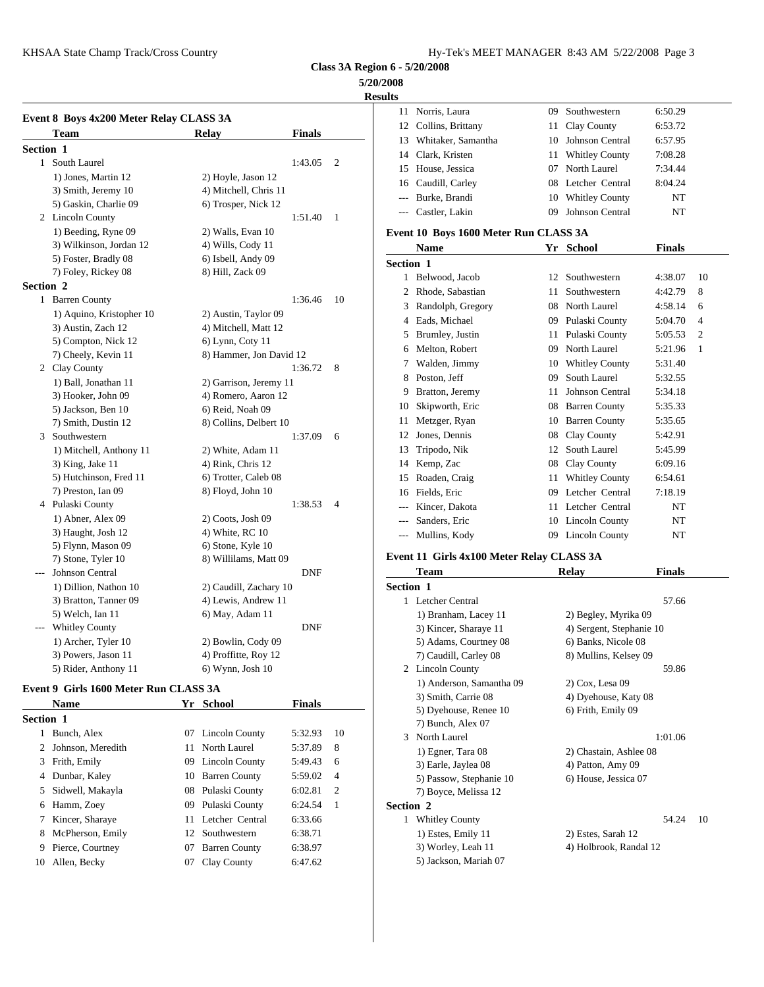#### **5/20/2008**

**Result** 

|                  | Event 8 Boys 4x200 Meter Relay CLASS 3A |                         |               |                | 11             | Norri:        |
|------------------|-----------------------------------------|-------------------------|---------------|----------------|----------------|---------------|
|                  | Team                                    | <b>Relay</b>            | <b>Finals</b> |                | 12             | Collir        |
| Section 1        |                                         |                         |               |                | 13             | Whita         |
|                  | 1 South Laurel                          |                         | 1:43.05       | $\overline{2}$ | 14             | Clark         |
|                  | 1) Jones, Martin 12                     | 2) Hoyle, Jason 12      |               |                | 15             | House         |
|                  | 3) Smith, Jeremy 10                     | 4) Mitchell, Chris 11   |               |                | 16             | Caudi         |
|                  | 5) Gaskin, Charlie 09                   | 6) Trosper, Nick 12     |               |                | $---$          | Burke         |
|                  | 2 Lincoln County                        |                         | 1:51.40       | 1              |                | Castle        |
|                  | 1) Beeding, Ryne 09                     | 2) Walls, Evan 10       |               |                | Event 10 B     |               |
|                  | 3) Wilkinson, Jordan 12                 | 4) Wills, Cody 11       |               |                |                |               |
|                  | 5) Foster, Bradly 08                    | 6) Isbell, Andy 09      |               |                |                | Nam           |
|                  | 7) Foley, Rickey 08                     | 8) Hill, Zack 09        |               |                | Section 1      |               |
| <b>Section 2</b> |                                         |                         |               |                | 1              | Belwo         |
|                  | 1 Barren County                         |                         | 1:36.46       | 10             | $\overline{c}$ | Rhod          |
|                  | 1) Aquino, Kristopher 10                | 2) Austin, Taylor 09    |               |                | 3              | Rand          |
|                  | 3) Austin, Zach 12                      | 4) Mitchell, Matt 12    |               |                |                | 4 Eads,       |
|                  | 5) Compton, Nick 12                     | 6) Lynn, Coty 11        |               |                | 5              | <b>Brum</b>   |
|                  | 7) Cheely, Kevin 11                     | 8) Hammer, Jon David 12 |               |                | 6              | Melto         |
|                  | 2 Clay County                           |                         | 1:36.72       | 8              | 7              | Wald          |
|                  | 1) Ball, Jonathan 11                    | 2) Garrison, Jeremy 11  |               |                | 8              | Posto         |
|                  | 3) Hooker, John 09                      | 4) Romero, Aaron 12     |               |                | 9              | <b>Bratto</b> |
|                  | 5) Jackson, Ben 10                      | 6) Reid, Noah 09        |               |                | 10             | Skipv         |
|                  | 7) Smith, Dustin 12                     | 8) Collins, Delbert 10  |               |                | 11             | Metz          |
|                  | 3 Southwestern                          |                         | 1:37.09       | 6              | 12             | Jones         |
|                  | 1) Mitchell, Anthony 11                 | 2) White, Adam 11       |               |                | 13             | Tripo         |
|                  | 3) King, Jake 11                        | 4) Rink, Chris 12       |               |                | 14             | Kemp          |
|                  | 5) Hutchinson, Fred 11                  | 6) Trotter, Caleb 08    |               |                | 15             | Roade         |
|                  | 7) Preston, Ian 09                      | 8) Floyd, John 10       |               |                | 16             | Fields        |
|                  | 4 Pulaski County                        |                         | 1:38.53       | 4              |                | Kince         |
|                  | 1) Abner, Alex 09                       | 2) Coots, Josh 09       |               |                |                | Sande         |
|                  | 3) Haught, Josh 12                      | 4) White, RC 10         |               |                |                | Mulli         |
|                  | 5) Flynn, Mason 09                      | 6) Stone, Kyle 10       |               |                |                |               |
|                  | 7) Stone, Tyler 10                      | 8) Willilams, Matt 09   |               |                | Event 11 G     |               |
|                  | Johnson Central                         |                         | <b>DNF</b>    |                |                | Tean          |
|                  | 1) Dillion, Nathon 10                   | 2) Caudill, Zachary 10  |               |                | Section 1      |               |
|                  | 3) Bratton, Tanner 09                   | 4) Lewis, Andrew 11     |               |                |                | 1 Letch       |
|                  | 5) Welch, Ian 11                        | 6) May, Adam 11         |               |                |                | $1)$ Br       |
|                  | <b>Whitley County</b>                   |                         | <b>DNF</b>    |                |                | 3) Kii        |
|                  | 1) Archer, Tyler 10                     | 2) Bowlin, Cody 09      |               |                |                | 5) Ad         |
|                  | 3) Powers, Jason 11                     | 4) Proffitte, Roy 12    |               |                |                | 7) Ca         |

# 5) Rider, Anthony 11 6) Wynn, Josh 10

# **Event 9 Girls 1600 Meter Run CLASS 3A**

|                  | <b>Name</b>         |    | Yr School            | <b>Finals</b> |                | سە رى                  |
|------------------|---------------------|----|----------------------|---------------|----------------|------------------------|
| <b>Section 1</b> |                     |    |                      |               |                | $5)$ Dy<br>$7)$ Bu     |
|                  | Bunch, Alex         |    | 07 Lincoln County    | 5:32.93       | 10             | North<br>$\mathcal{F}$ |
|                  | 2 Johnson, Meredith |    | 11 North Laurel      | 5:37.89       | 8              | $1)$ Eg                |
|                  | 3 Frith, Emily      |    | 09 Lincoln County    | 5:49.43       | 6              | $3)$ Ear               |
|                  | 4 Dunbar, Kaley     |    | 10 Barren County     | 5:59.02       | $\overline{4}$ | 5) Pas                 |
|                  | 5 Sidwell, Makayla  |    | 08 Pulaski County    | 6:02.81       | $\overline{c}$ | $7)$ Bo                |
|                  | 6 Hamm, Zoey        |    | 09 Pulaski County    | 6:24.54       | 1              | Section 2              |
|                  | 7 Kincer, Sharaye   |    | 11 Letcher Central   | 6:33.66       |                | Whitl                  |
|                  | 8 McPherson, Emily  |    | 12 Southwestern      | 6:38.71       |                | $1)$ Est               |
|                  | 9 Pierce, Courtney  | 07 | <b>Barren County</b> | 6:38.97       |                | $3)$ W                 |
| 10               | Allen, Becky        | 07 | Clay County          | 6:47.62       |                | 5) Jac                 |
|                  |                     |    |                      |               |                |                        |

| US. |                      |    |                       |         |
|-----|----------------------|----|-----------------------|---------|
| 11  | Norris, Laura        |    | 09 Southwestern       | 6:50.29 |
|     | 12 Collins, Brittany |    | 11 Clay County        | 6:53.72 |
| 13  | Whitaker, Samantha   |    | 10 Johnson Central    | 6:57.95 |
|     | 14 Clark, Kristen    | 11 | <b>Whitley County</b> | 7:08.28 |
|     | 15 House, Jessica    | 07 | North Laurel          | 7:34.44 |
|     | 16 Caudill, Carley   |    | 08 Letcher Central    | 8:04.24 |
|     | --- Burke, Brandi    | 10 | <b>Whitley County</b> | NT      |
|     | Castler, Lakin       | 09 | Johnson Central       | NT      |
|     |                      |    |                       |         |

#### **Event 10 Boys 1600 Meter Run CLASS 3A**

|                  | Name              |    | Yr School              | <b>Finals</b> |                |
|------------------|-------------------|----|------------------------|---------------|----------------|
| <b>Section 1</b> |                   |    |                        |               |                |
| 1                | Belwood, Jacob    | 12 | Southwestern           | 4:38.07       | 10             |
| 2                | Rhode, Sabastian  | 11 | Southwestern           | 4:42.79       | 8              |
| 3                | Randolph, Gregory | 08 | North Laurel           | 4:58.14       | 6              |
| 4                | Eads, Michael     | 09 | Pulaski County         | 5:04.70       | $\overline{4}$ |
| 5                | Brumley, Justin   | 11 | Pulaski County         | 5:05.53       | 2              |
| 6                | Melton, Robert    | 09 | North Laurel           | 5:21.96       | 1              |
| 7                | Walden, Jimmy     | 10 | <b>Whitley County</b>  | 5:31.40       |                |
| 8                | Poston, Jeff      | 09 | South Laurel           | 5:32.55       |                |
| 9                | Bratton, Jeremy   | 11 | <b>Johnson Central</b> | 5:34.18       |                |
| 10               | Skipworth, Eric   | 08 | <b>Barren County</b>   | 5:35.33       |                |
| 11               | Metzger, Ryan     | 10 | <b>Barren County</b>   | 5:35.65       |                |
| 12               | Jones, Dennis     | 08 | Clay County            | 5:42.91       |                |
| 13               | Tripodo, Nik      | 12 | South Laurel           | 5:45.99       |                |
| 14               | Kemp, Zac         | 08 | Clay County            | 6:09.16       |                |
| 15               | Roaden, Craig     | 11 | <b>Whitley County</b>  | 6:54.61       |                |
| 16               | Fields, Eric      | 09 | Letcher Central        | 7:18.19       |                |
|                  | Kincer, Dakota    | 11 | Letcher Central        | NT            |                |
| $---$            | Sanders, Eric     | 10 | Lincoln County         | NT            |                |
| $\overline{a}$   | Mullins, Kody     | 09 | Lincoln County         | NT            |                |

#### **Event 11 Girls 4x100 Meter Relay CLASS 3A**

|                  | <b>Team</b>              | Relay                    | <b>Finals</b> |    |
|------------------|--------------------------|--------------------------|---------------|----|
| <b>Section 1</b> |                          |                          |               |    |
|                  | 1 Letcher Central        |                          | 57.66         |    |
|                  | 1) Branham, Lacey 11     | 2) Begley, Myrika 09     |               |    |
|                  | 3) Kincer, Sharaye 11    | 4) Sergent, Stephanie 10 |               |    |
|                  | 5) Adams, Courtney 08    | 6) Banks, Nicole 08      |               |    |
|                  | 7) Caudill, Carley 08    | 8) Mullins, Kelsey 09    |               |    |
|                  | 2 Lincoln County         |                          | 59.86         |    |
|                  | 1) Anderson, Samantha 09 | $2)$ Cox, Lesa 09        |               |    |
|                  | 3) Smith, Carrie 08      | 4) Dyehouse, Katy 08     |               |    |
|                  | 5) Dyehouse, Renee 10    | 6) Frith, Emily 09       |               |    |
|                  | 7) Bunch, Alex 07        |                          |               |    |
| 3                | North Laurel             |                          | 1:01.06       |    |
|                  | 1) Egner, Tara 08        | 2) Chastain, Ashlee 08   |               |    |
|                  | 3) Earle, Jaylea 08      | 4) Patton, Amy 09        |               |    |
|                  | 5) Passow, Stephanie 10  | 6) House, Jessica 07     |               |    |
|                  | 7) Boyce, Melissa 12     |                          |               |    |
|                  | <b>Section 2</b>         |                          |               |    |
| 1                | <b>Whitley County</b>    |                          | 54.24         | 10 |
|                  | 1) Estes, Emily 11       | 2) Estes, Sarah 12       |               |    |
|                  |                          |                          |               |    |

- 3) Worley, Leah 11 4) Holbrook, Randal 12
- 5) Jackson, Mariah 07
-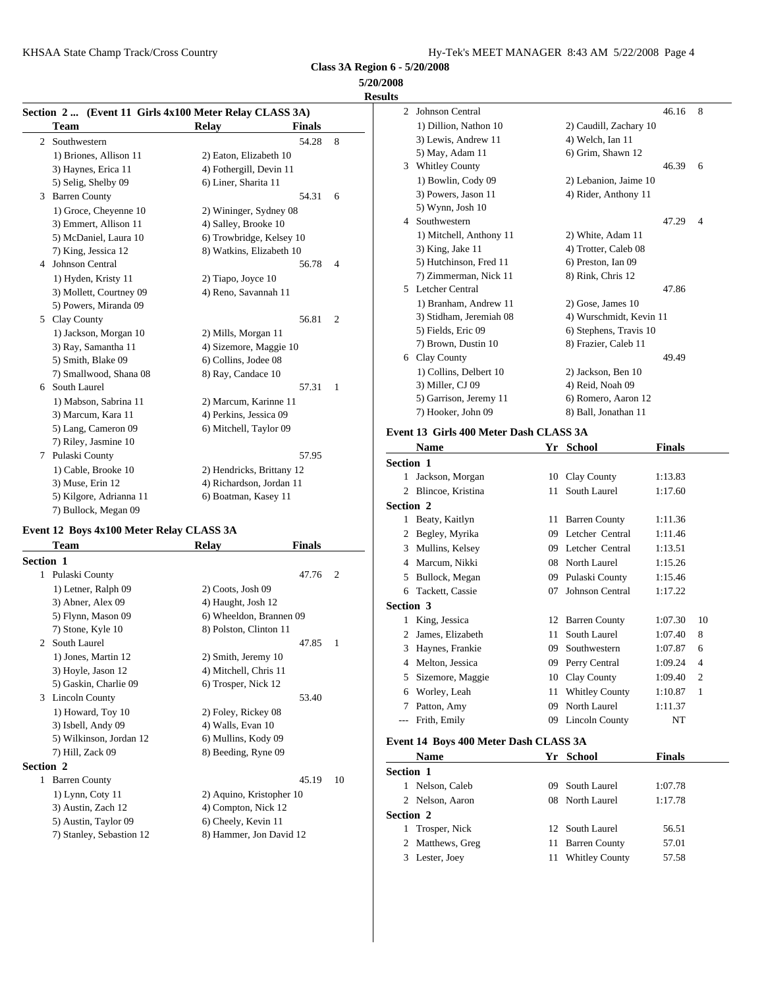|   |                         |                                                        |                | 5/20/2008<br><b>Results</b> |
|---|-------------------------|--------------------------------------------------------|----------------|-----------------------------|
|   |                         | Section 2  (Event 11 Girls 4x100 Meter Relay CLASS 3A) |                | John<br>2                   |
|   | Team                    | <b>Relay</b><br><b>Finals</b>                          |                | 1) D                        |
| 2 | Southwestern            | 54.28                                                  | 8              | 3) L                        |
|   | 1) Briones, Allison 11  | 2) Eaton, Elizabeth 10                                 |                | 5) M                        |
|   | 3) Haynes, Erica 11     | 4) Fothergill, Devin 11                                |                | 3<br>Whi                    |
|   | 5) Selig, Shelby 09     | 6) Liner, Sharita 11                                   |                | $1)$ B                      |
| 3 | <b>Barren County</b>    | 54.31                                                  | 6              | $3)$ P                      |
|   | 1) Groce, Cheyenne 10   | 2) Wininger, Sydney 08                                 |                | 5) W                        |
|   | 3) Emmert, Allison 11   | 4) Salley, Brooke 10                                   |                | Sout<br>4                   |
|   | 5) McDaniel, Laura 10   | 6) Trowbridge, Kelsey 10                               |                | 1) N                        |
|   | 7) King, Jessica 12     | 8) Watkins, Elizabeth 10                               |                | 3) K                        |
| 4 | Johnson Central         | 56.78                                                  | 4              | 5) H                        |
|   | 1) Hyden, Kristy 11     | 2) Tiapo, Joyce 10                                     |                | 7) Z                        |
|   | 3) Mollett, Courtney 09 | 4) Reno, Savannah 11                                   |                | 5 Letc                      |
|   | 5) Powers, Miranda 09   |                                                        |                | $1)$ B                      |
|   | 5 Clay County           | 56.81                                                  | $\overline{2}$ | $3)$ St                     |
|   | 1) Jackson, Morgan 10   | 2) Mills, Morgan 11                                    |                | 5) Fi                       |
|   | 3) Ray, Samantha 11     | 4) Sizemore, Maggie 10                                 |                | 7) B                        |
|   | 5) Smith, Blake 09      | 6) Collins, Jodee 08                                   |                | Clay<br>6.                  |
|   | 7) Smallwood, Shana 08  | 8) Ray, Candace 10                                     |                | $1)$ C                      |
| 6 | South Laurel            | 57.31                                                  | 1              | 3) N                        |
|   | 1) Mabson, Sabrina 11   | 2) Marcum, Karinne 11                                  |                | 5) G                        |
|   | 3) Marcum, Kara 11      | 4) Perkins, Jessica 09                                 |                | 7) H                        |
|   | 5) Lang, Cameron 09     | 6) Mitchell, Taylor 09                                 |                | Event 13                    |
|   | 7) Riley, Jasmine 10    |                                                        |                | Nan                         |
| 7 | Pulaski County          | 57.95                                                  |                | Section 1                   |
|   | 1) Cable, Brooke 10     | 2) Hendricks, Brittany 12                              |                | Jack<br>1                   |
|   | 3) Muse, Erin 12        | 4) Richardson, Jordan 11                               |                | $\overline{c}$<br>Blin      |
|   | 5) Kilgore, Adrianna 11 | 6) Boatman, Kasey 11                                   |                | Section 2                   |
|   | 7) Bullock, Megan 09    |                                                        |                |                             |
|   |                         |                                                        |                | 1 Beat                      |

#### **Event 12 Boys 4x100 Meter Relay CLASS 3A**

|                  | Team                     | <b>Relay</b>             | <b>Finals</b> | Mulli<br>3                   |
|------------------|--------------------------|--------------------------|---------------|------------------------------|
| <b>Section 1</b> |                          |                          |               | Marcu<br>4                   |
| 1                | Pulaski County           |                          | 47.76         | $\overline{c}$<br>Bullo<br>5 |
|                  | 1) Letner, Ralph 09      | 2) Coots, Josh 09        |               | Tacke<br>6                   |
|                  | 3) Abner, Alex 09        | 4) Haught, Josh 12       |               | Section 3                    |
|                  | 5) Flynn, Mason 09       | 6) Wheeldon, Brannen 09  |               | King,<br>1                   |
|                  | 7) Stone, Kyle 10        | 8) Polston, Clinton 11   |               | James                        |
| 2                | South Laurel             |                          | 47.85         | 1<br>3<br>Hayn               |
|                  | 1) Jones, Martin 12      | 2) Smith, Jeremy 10      |               | Melto<br>4                   |
|                  | 3) Hoyle, Jason 12       | 4) Mitchell, Chris 11    |               | 5                            |
|                  | 5) Gaskin, Charlie 09    | 6) Trosper, Nick 12      |               | Sizem                        |
| 3                | <b>Lincoln County</b>    |                          | 53.40         | Worle<br>6                   |
|                  | 1) Howard, Toy 10        | 2) Foley, Rickey 08      |               | 7<br>Pattor                  |
|                  | 3) Isbell, Andy 09       | 4) Walls, Evan 10        |               | Frith,                       |
|                  | 5) Wilkinson, Jordan 12  | 6) Mullins, Kody 09      |               | Event 14 B                   |
|                  | 7) Hill, Zack 09         | 8) Beeding, Ryne 09      |               | <b>Nam</b>                   |
| <b>Section 2</b> |                          |                          |               | Section 1                    |
| 1                | <b>Barren County</b>     |                          | 45.19         | 10<br>Nelso                  |
|                  | $1)$ Lynn, Coty $11$     | 2) Aquino, Kristopher 10 |               | <b>Nelso</b><br>2            |
|                  | 3) Austin, Zach 12       | 4) Compton, Nick 12      |               |                              |
|                  | 5) Austin, Taylor 09     | 6) Cheely, Kevin 11      |               | Section 2                    |
|                  | 7) Stanley, Sebastion 12 | 8) Hammer, Jon David 12  |               | Trosp                        |
|                  |                          |                          |               | Matth<br>2                   |

|                  | 2 Johnson Central                      |    |                         | 46.16         | 8  |
|------------------|----------------------------------------|----|-------------------------|---------------|----|
|                  | 1) Dillion, Nathon 10                  |    | 2) Caudill, Zachary 10  |               |    |
|                  | 3) Lewis, Andrew 11                    |    | 4) Welch, Ian 11        |               |    |
|                  | 5) May, Adam 11                        |    | 6) Grim, Shawn 12       |               |    |
|                  | 3 Whitley County                       |    |                         | 46.39         | 6  |
|                  | 1) Bowlin, Cody 09                     |    | 2) Lebanion, Jaime 10   |               |    |
|                  | 3) Powers, Jason 11                    |    | 4) Rider, Anthony 11    |               |    |
|                  | 5) Wynn, Josh 10                       |    |                         |               |    |
|                  | 4 Southwestern                         |    |                         | 47.29         | 4  |
|                  | 1) Mitchell, Anthony 11                |    | 2) White, Adam 11       |               |    |
|                  | 3) King, Jake 11                       |    | 4) Trotter, Caleb 08    |               |    |
|                  | 5) Hutchinson, Fred 11                 |    | 6) Preston, Ian 09      |               |    |
|                  | 7) Zimmerman, Nick 11                  |    | 8) Rink, Chris 12       |               |    |
|                  | 5 Letcher Central                      |    |                         | 47.86         |    |
|                  | 1) Branham, Andrew 11                  |    | 2) Gose, James 10       |               |    |
|                  | 3) Stidham, Jeremiah 08                |    | 4) Wurschmidt, Kevin 11 |               |    |
|                  | 5) Fields, Eric 09                     |    | 6) Stephens, Travis 10  |               |    |
|                  | 7) Brown, Dustin 10                    |    | 8) Frazier, Caleb 11    |               |    |
|                  | 6 Clay County                          |    |                         | 49.49         |    |
|                  | 1) Collins, Delbert 10                 |    | 2) Jackson, Ben 10      |               |    |
|                  | 3) Miller, CJ 09                       |    | 4) Reid, Noah 09        |               |    |
|                  | 5) Garrison, Jeremy 11                 |    | 6) Romero, Aaron 12     |               |    |
|                  | 7) Hooker, John 09                     |    | 8) Ball, Jonathan 11    |               |    |
|                  | Event 13 Girls 400 Meter Dash CLASS 3A |    |                         |               |    |
|                  | <b>Name</b>                            |    | Yr School               | Finals        |    |
| <b>Section 1</b> |                                        |    |                         |               |    |
|                  | 1 Jackson, Morgan                      | 10 | Clay County             | 1:13.83       |    |
|                  | 2 Blincoe, Kristina                    | 11 | South Laurel            | 1:17.60       |    |
|                  |                                        |    |                         |               |    |
| <b>Section 2</b> |                                        |    |                         |               |    |
|                  | 1 Beaty, Kaitlyn                       |    | 11 Barren County        | 1:11.36       |    |
|                  | 2 Begley, Myrika                       |    | 09 Letcher Central      | 1:11.46       |    |
|                  | 3 Mullins, Kelsey                      |    | 09 Letcher Central      | 1:13.51       |    |
|                  | 4 Marcum, Nikki                        |    | 08 North Laurel         | 1:15.26       |    |
|                  | 5 Bullock, Megan                       |    | 09 Pulaski County       | 1:15.46       |    |
|                  | 6 Tackett, Cassie                      |    | 07 Johnson Central      | 1:17.22       |    |
| <b>Section 3</b> |                                        |    |                         |               |    |
|                  | 1 King, Jessica                        |    | 12 Barren County        | 1:07.30       | 10 |
|                  | 2 James, Elizabeth                     | 11 | South Laurel            | 1:07.40       | 8  |
|                  | 3 Haynes, Frankie                      | 09 | Southwestern            | 1:07.87       | 6  |
|                  | 4 Melton, Jessica                      |    | 09 Perry Central        | 1:09.24       | 4  |
|                  | 5 Sizemore, Maggie                     |    | 10 Clay County          | 1:09.40       | 2  |
|                  | 6 Worley, Leah                         | 11 | <b>Whitley County</b>   | 1:10.87       | 1  |
|                  | 7 Patton, Amy                          | 09 | North Laurel            | 1:11.37       |    |
|                  | --- Frith, Emily                       |    | 09 Lincoln County       | NΤ            |    |
|                  |                                        |    |                         |               |    |
|                  | Event 14 Boys 400 Meter Dash CLASS 3A  |    |                         |               |    |
|                  | Name                                   |    | Yr School               | <b>Finals</b> |    |
| <b>Section 1</b> |                                        |    |                         |               |    |
|                  | 1 Nelson, Caleb                        | 09 | South Laurel            | 1:07.78       |    |
|                  | 2 Nelson, Aaron                        | 08 | North Laurel            | 1:17.78       |    |
| <b>Section 2</b> |                                        |    |                         |               |    |
|                  | 1 Trosper, Nick                        | 12 | South Laurel            | 56.51         |    |
|                  | 2 Matthews, Greg                       | 11 | <b>Barren County</b>    | 57.01         |    |
|                  | 3 Lester, Joey                         |    | 11 Whitley County       | 57.58         |    |
|                  |                                        |    |                         |               |    |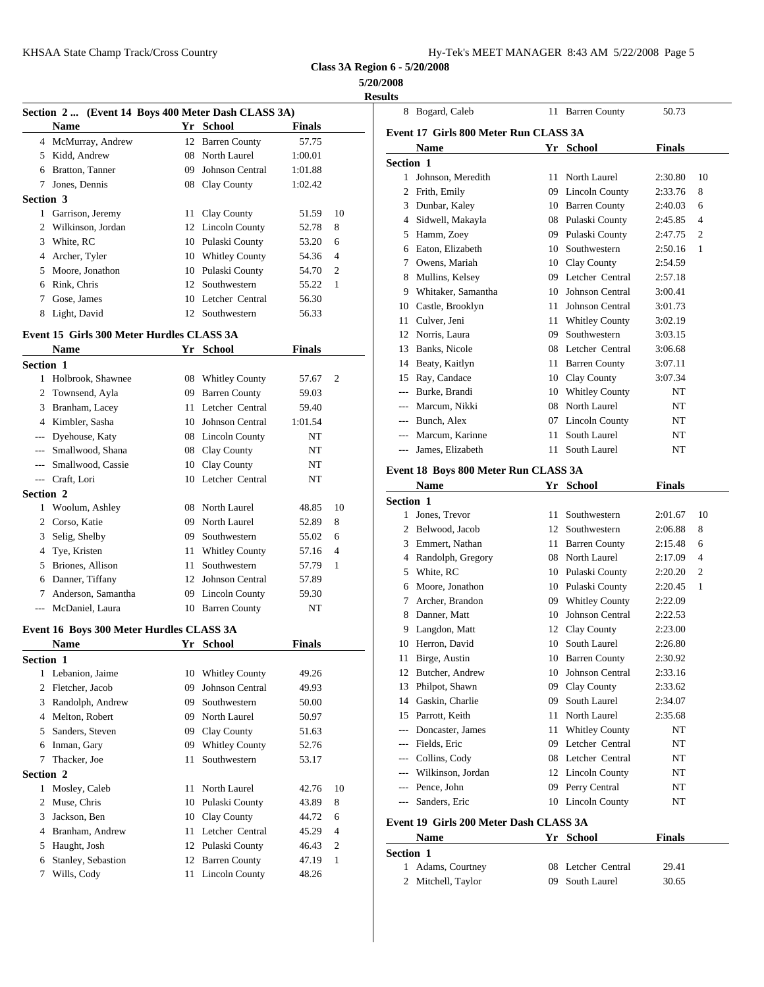**5/20/2008 Results**

|                  | Section 2  (Event 14 Boys 400 Meter Dash CLASS 3A) |    |                                          |                |                | 8 Bogar                  |
|------------------|----------------------------------------------------|----|------------------------------------------|----------------|----------------|--------------------------|
|                  | <b>Name</b>                                        |    | Yr School                                | <b>Finals</b>  |                | Event 17 G               |
|                  | 4 McMurray, Andrew                                 |    | 12 Barren County                         | 57.75          |                | <b>Nam</b>               |
|                  | 5 Kidd, Andrew                                     |    | 08 North Laurel                          | 1:00.01        |                | Section 1                |
|                  | 6 Bratton, Tanner                                  | 09 | Johnson Central                          | 1:01.88        |                | 1 Johns                  |
|                  | 7 Jones, Dennis                                    |    | 08 Clay County                           | 1:02.42        |                | 2<br>Frith,              |
| <b>Section 3</b> |                                                    |    |                                          |                |                | 3<br>Dunb                |
|                  | 1 Garrison, Jeremy                                 |    | 11 Clay County                           | 51.59          | 10             | Sidwe<br>4               |
|                  | 2 Wilkinson, Jordan                                |    | 12 Lincoln County                        | 52.78          | 8              | 5<br>Hamr                |
|                  | 3 White, RC                                        |    | 10 Pulaski County                        | 53.20          | 6              | Eaton<br>6               |
|                  | 4 Archer, Tyler                                    |    | 10 Whitley County                        | 54.36          | $\overline{4}$ | 7<br>Owen                |
|                  | 5 Moore, Jonathon                                  |    | 10 Pulaski County                        | 54.70          | 2              | 8<br>Mulli               |
|                  | 6 Rink, Chris                                      |    | 12 Southwestern                          | 55.22          | 1              | Whita<br>9               |
|                  | 7 Gose, James                                      |    | 10 Letcher Central                       | 56.30          |                | 10<br>Castle             |
|                  | 8 Light, David                                     |    | 12 Southwestern                          | 56.33          |                | 11<br>Culve              |
|                  | Event 15 Girls 300 Meter Hurdles CLASS 3A          |    |                                          |                |                | 12<br>Norri:             |
|                  | Name                                               |    | Yr School                                | Finals         |                | <b>Banks</b><br>13       |
| <b>Section 1</b> |                                                    |    |                                          |                |                | Beaty<br>14              |
|                  | 1 Holbrook, Shawnee                                |    | 08 Whitley County                        | 57.67          | 2              | 15<br>Ray,               |
|                  | 2 Townsend, Ayla                                   |    | 09 Barren County                         |                |                | Burke                    |
|                  |                                                    |    |                                          | 59.03          |                | Marcu<br>---             |
|                  | 3 Branham, Lacey<br>4 Kimbler, Sasha               |    | 11 Letcher Central<br>10 Johnson Central | 59.40          |                | Buncl<br>$---$           |
|                  |                                                    |    |                                          | 1:01.54        |                | Marcu                    |
| $---$            | Dyehouse, Katy                                     |    | 08 Lincoln County                        | NT             |                | James<br>---             |
|                  | --- Smallwood, Shana                               |    | 08 Clay County                           | NT             |                |                          |
|                  | --- Smallwood, Cassie                              |    | 10 Clay County                           | NT             |                | Event 18 B               |
|                  | --- Craft, Lori                                    |    | 10 Letcher Central                       | NT             |                | Nam                      |
| <b>Section 2</b> |                                                    |    |                                          |                |                | Section 1                |
|                  | 1 Woolum, Ashley                                   |    | 08 North Laurel                          | 48.85          | 10             | $\mathbf{1}$<br>Jones    |
|                  | 2 Corso, Katie                                     |    | 09 North Laurel                          | 52.89          | 8              | Belwo<br>2               |
| 3                | Selig, Shelby                                      | 09 | Southwestern                             | 55.02          | 6              | 3<br>Emm                 |
| 4                | Tye, Kristen                                       | 11 | <b>Whitley County</b>                    | 57.16          | 4              | 4 Rando                  |
| 5                | Briones, Allison                                   | 11 | Southwestern                             | 57.79          | 1              | White<br>5               |
| 6                | Danner, Tiffany                                    |    | 12 Johnson Central                       | 57.89          |                | Moor<br>6                |
| 7                | Anderson, Samantha                                 |    | 09 Lincoln County                        | 59.30          |                | 7<br>Arche               |
|                  | --- McDaniel, Laura                                |    | 10 Barren County                         | NT             |                | 8<br>Dann                |
|                  | Event 16 Boys 300 Meter Hurdles CLASS 3A           |    |                                          |                |                | 9<br>Lango               |
|                  | Name                                               |    | Yr School                                | <b>Finals</b>  |                | Herro<br>10              |
| <b>Section 1</b> |                                                    |    |                                          |                |                | 11<br><b>Birge</b>       |
| 1                | Lebanion, Jaime                                    |    | 10 Whitley County                        | 49.26          |                | Butch<br>12              |
|                  | 2 Fletcher, Jacob                                  | 09 | Johnson Central                          | 49.93          |                | 13<br>Philpo             |
| 3                | Randolph, Andrew                                   | 09 | Southwestern                             | 50.00          |                | 14<br>Gaski              |
| 4                | Melton, Robert                                     | 09 | North Laurel                             | 50.97          |                | Parrot<br>15             |
| 5                | Sanders, Steven                                    | 09 | Clay County                              | 51.63          |                | Donca<br>---             |
| 6                | Inman, Gary                                        | 09 | <b>Whitley County</b>                    | 52.76          |                | Fields<br>$\overline{a}$ |
| 7                | Thacker, Joe                                       | 11 | Southwestern                             | 53.17          |                | Collir<br>---            |
| <b>Section 2</b> |                                                    |    |                                          |                |                | Wilki<br>---             |
| 1                | Mosley, Caleb                                      | 11 | North Laurel                             | 42.76          | 10             | Pence<br>---             |
| 2                | Muse, Chris                                        | 10 | Pulaski County                           | 43.89          | 8              | Sande<br>---             |
| 3                | Jackson, Ben                                       |    | 10 Clay County                           | 44.72          | 6              |                          |
| 4                | Branham, Andrew                                    |    | 11 Letcher Central                       | 45.29          | 4              | Event 19 G               |
|                  | Haught, Josh                                       |    | 12 Pulaski County                        | 46.43          | 2              | Nam                      |
|                  |                                                    |    |                                          |                |                | Section 1                |
| 5                |                                                    |    |                                          |                |                |                          |
| 6<br>7           | Stanley, Sebastion<br>Wills, Cody                  |    | 12 Barren County<br>11 Lincoln County    | 47.19<br>48.26 | 1              | Adam<br>$\mathbf{1}$     |

|                  | 8 Bogard, Caleb                        |    | 11 Barren County       | 50.73         |                |
|------------------|----------------------------------------|----|------------------------|---------------|----------------|
|                  | Event 17  Girls 800 Meter Run CLASS 3A |    |                        |               |                |
|                  | <b>Name</b>                            |    | Yr School              | <b>Finals</b> |                |
| <b>Section 1</b> |                                        |    |                        |               |                |
|                  | 1 Johnson, Meredith                    |    | 11 North Laurel        | 2:30.80       | 10             |
|                  | 2 Frith, Emily                         | 09 | Lincoln County         | 2:33.76       | 8              |
|                  | 3 Dunbar, Kaley                        |    | 10 Barren County       | 2:40.03       | 6              |
|                  | 4 Sidwell, Makayla                     |    | 08 Pulaski County      | 2:45.85       | 4              |
|                  | 5 Hamm, Zoey                           |    | 09 Pulaski County      | 2:47.75       | 2              |
|                  | 6 Eaton, Elizabeth                     |    | 10 Southwestern        | 2:50.16       | 1              |
|                  | 7 Owens, Mariah                        |    | 10 Clay County         | 2:54.59       |                |
|                  | 8 Mullins, Kelsey                      |    | 09 Letcher Central     | 2:57.18       |                |
|                  | 9 Whitaker, Samantha                   | 10 | Johnson Central        | 3:00.41       |                |
|                  | 10 Castle, Brooklyn                    | 11 | Johnson Central        | 3:01.73       |                |
|                  | 11 Culver, Jeni                        | 11 | <b>Whitley County</b>  | 3:02.19       |                |
|                  | 12 Norris, Laura                       | 09 | Southwestern           | 3:03.15       |                |
|                  | 13 Banks, Nicole                       |    | 08 Letcher Central     | 3:06.68       |                |
|                  | 14 Beaty, Kaitlyn                      | 11 | <b>Barren County</b>   | 3:07.11       |                |
|                  | 15 Ray, Candace                        |    | 10 Clay County         | 3:07.34       |                |
|                  | --- Burke, Brandi                      | 10 | <b>Whitley County</b>  | NT            |                |
|                  | --- Marcum, Nikki                      |    | 08 North Laurel        | NT            |                |
|                  | --- Bunch, Alex                        |    | 07 Lincoln County      | NT            |                |
|                  | --- Marcum, Karinne                    | 11 | South Laurel           | NΤ            |                |
|                  | --- James, Elizabeth                   |    | 11 South Laurel        | NT            |                |
|                  |                                        |    |                        |               |                |
|                  | Event 18 Boys 800 Meter Run CLASS 3A   |    |                        |               |                |
|                  | Name                                   |    | Yr School              | <b>Finals</b> |                |
| <b>Section 1</b> | 1 Jones, Trevor                        | 11 | Southwestern           | 2:01.67       | 10             |
|                  | 2 Belwood, Jacob                       |    | 12 Southwestern        | 2:06.88       | 8              |
|                  | 3 Emmert, Nathan                       | 11 | <b>Barren County</b>   | 2:15.48       | 6              |
|                  |                                        |    | 08 North Laurel        | 2:17.09       | $\overline{4}$ |
|                  | 4 Randolph, Gregory<br>5 White, RC     |    | 10 Pulaski County      | 2:20.20       | 2              |
|                  | 6 Moore, Jonathon                      |    | 10 Pulaski County      | 2:20.45       | 1              |
|                  | 7 Archer, Brandon                      |    | 09 Whitley County      | 2:22.09       |                |
|                  | 8 Danner, Matt                         | 10 | <b>Johnson Central</b> | 2:22.53       |                |
| 9                | Langdon, Matt                          |    | 12 Clay County         | 2:23.00       |                |
| 10               | Herron, David                          | 10 | South Laurel           | 2:26.80       |                |
| 11               | Birge, Austin                          | 10 | <b>Barren County</b>   | 2:30.92       |                |
|                  | 12 Butcher, Andrew                     | 10 | Johnson Central        | 2:33.16       |                |
| 13               | Philpot, Shawn                         | 09 | Clay County            | 2:33.62       |                |
| 14               | Gaskin, Charlie                        | 09 | South Laurel           | 2:34.07       |                |
|                  | 15 Parrott, Keith                      | 11 | North Laurel           | 2:35.68       |                |
| $---$            | Doncaster, James                       | 11 | <b>Whitley County</b>  | NT            |                |
| ---              | Fields, Eric                           |    | 09 Letcher Central     | NT            |                |
| ---              | Collins, Cody                          |    | 08 Letcher Central     | NT            |                |
| $\overline{a}$   | Wilkinson, Jordan                      |    | 12 Lincoln County      | NT            |                |
|                  | --- Pence, John                        |    | 09 Perry Central       | NT            |                |
| $---$            | Sanders, Eric                          |    | 10 Lincoln County      | NΤ            |                |
|                  |                                        |    |                        |               |                |
|                  | Event 19 Girls 200 Meter Dash CLASS 3A |    |                        |               |                |
|                  | <b>Name</b>                            |    | Yr School              | <b>Finals</b> |                |
| <b>Section 1</b> |                                        |    |                        |               |                |
|                  | 1 Adams, Courtney                      |    | 08 Letcher Central     | 29.41         |                |
|                  | 2 Mitchell, Taylor                     |    | 09 South Laurel        | 30.65         |                |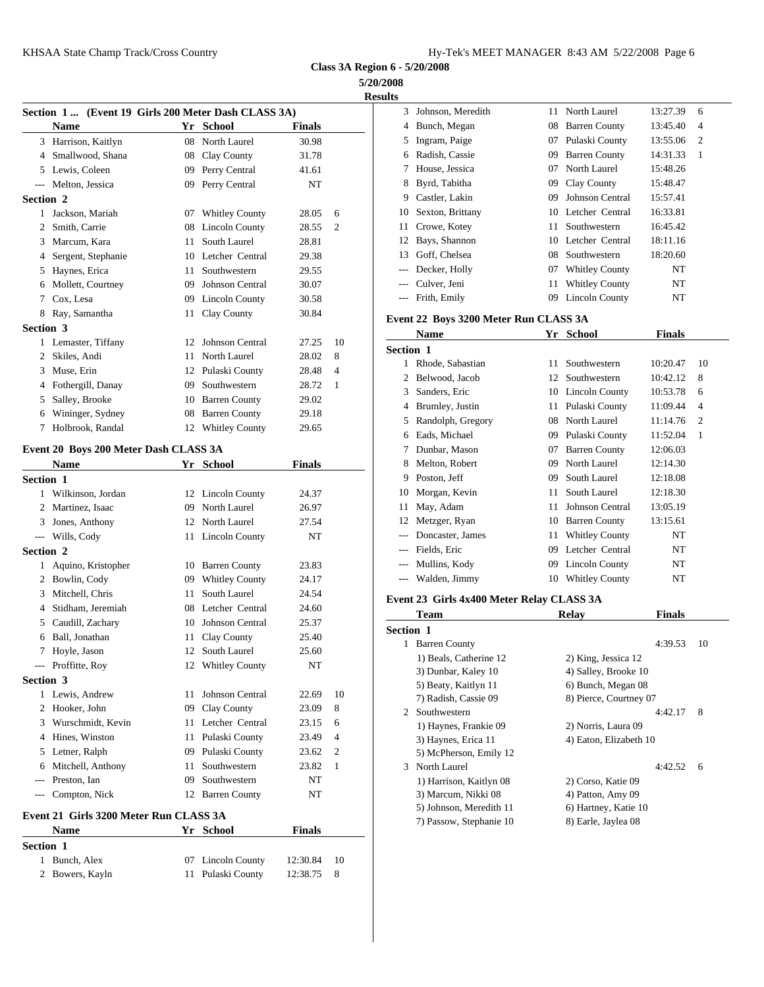| Hy-Tek's MEET MANAGER 8:43 AM 5/22/2008 Page 6 |  |  |  |
|------------------------------------------------|--|--|--|
|------------------------------------------------|--|--|--|

**Class 3A Region 6 - 5/20/2008 5/20/2008**

**Result** 

|                  | Section 1  (Event 19 Girls 200 Meter Dash CLASS 3A) |    |                    |               |                | 3                   | Johns      |
|------------------|-----------------------------------------------------|----|--------------------|---------------|----------------|---------------------|------------|
|                  | <b>Name</b>                                         |    | Yr School          | <b>Finals</b> |                | 4                   | Buncl      |
|                  | 3 Harrison, Kaitlyn                                 |    | 08 North Laurel    | 30.98         |                | 5                   | Ingrai     |
|                  | 4 Smallwood, Shana                                  |    | 08 Clay County     | 31.78         |                | 6                   | Radis      |
|                  | 5 Lewis, Coleen                                     |    | 09 Perry Central   | 41.61         |                | 7                   | House      |
|                  | --- Melton, Jessica                                 |    | 09 Perry Central   | NT            |                | 8                   | Byrd,      |
| Section 2        |                                                     |    |                    |               |                | 9                   | Castle     |
| 1                | Jackson, Mariah                                     |    | 07 Whitley County  | 28.05         | 6              | 10                  | Sexto      |
|                  | 2 Smith, Carrie                                     |    | 08 Lincoln County  | 28.55         | $\overline{c}$ | 11                  | Crow       |
|                  | 3 Marcum, Kara                                      |    | 11 South Laurel    | 28.81         |                | 12                  | Bays,      |
|                  | 4 Sergent, Stephanie                                |    | 10 Letcher Central | 29.38         |                | 13                  | Goff.      |
|                  | 5 Haynes, Erica                                     |    | 11 Southwestern    | 29.55         |                | $---$               | Deck       |
|                  | 6 Mollett, Courtney                                 |    | 09 Johnson Central | 30.07         |                | $---$               | Culve      |
| $7^{\circ}$      | Cox, Lesa                                           |    | 09 Lincoln County  | 30.58         |                | $---$               | Frith,     |
| 8                | Ray, Samantha                                       |    | 11 Clay County     | 30.84         |                |                     | Event 22 B |
| Section 3        |                                                     |    |                    |               |                |                     | Nam        |
|                  | 1 Lemaster, Tiffany                                 |    | 12 Johnson Central | 27.25         | 10             |                     |            |
|                  | 2 Skiles, Andi                                      |    | 11 North Laurel    | 28.02         | 8              | <b>Section 1</b>    |            |
|                  | 3 Muse, Erin                                        |    | 12 Pulaski County  | 28.48         | 4              | 1<br>$\mathfrak{D}$ | Rhod       |
|                  | 4 Fothergill, Danay                                 |    | 09 Southwestern    | 28.72         | 1              |                     | Belwo      |
| 5                | Salley, Brooke                                      |    | 10 Barren County   | 29.02         |                | 3                   | Sande      |
| 6                | Wininger, Sydney                                    |    | 08 Barren County   | 29.18         |                |                     | 4 Brum     |
| 7                | Holbrook, Randal                                    |    | 12 Whitley County  | 29.65         |                | 5                   | Rand       |
|                  |                                                     |    |                    |               |                |                     | 6 Eads,    |
|                  | Event 20 Boys 200 Meter Dash CLASS 3A               |    |                    |               |                | 7                   | Dunb       |
|                  | <b>Name</b>                                         |    | Yr School          | <b>Finals</b> |                | 8                   | Melto      |
| <b>Section 1</b> |                                                     |    |                    |               |                | 9                   | Posto      |
|                  | 1 Wilkinson, Jordan                                 |    | 12 Lincoln County  | 24.37         |                | 10                  | Morg       |
|                  | 2 Martinez, Isaac                                   |    | 09 North Laurel    | 26.97         |                | 11                  | May,       |
|                  | 3 Jones, Anthony                                    |    | 12 North Laurel    | 27.54         |                | 12                  | Metzg      |
|                  | --- Wills, Cody                                     |    | 11 Lincoln County  | NT            |                |                     | Donca      |
| Section 2        |                                                     |    |                    |               |                |                     | Fields     |
|                  | 1 Aquino, Kristopher                                |    | 10 Barren County   | 23.83         |                |                     | Mulli      |
|                  | 2 Bowlin, Cody                                      |    | 09 Whitley County  | 24.17         |                | $---$               | Wald       |
|                  | 3 Mitchell, Chris                                   |    | 11 South Laurel    | 24.54         |                | Event 23 G          |            |
|                  | 4 Stidham, Jeremiah                                 |    | 08 Letcher Central | 24.60         |                |                     | Tean       |
|                  | 5 Caudill, Zachary                                  |    | 10 Johnson Central | 25.37         |                | Section 1           |            |
| 6                | Ball, Jonathan                                      | 11 | Clay County        | 25.40         |                |                     | 1 Barre    |
| 7                | Hoyle, Jason                                        |    | 12 South Laurel    | 25.60         |                |                     | $1)$ Be    |
|                  | --- Proffitte, Roy                                  |    | 12 Whitley County  | NT            |                |                     | 3) Du      |
| Section 3        |                                                     |    |                    |               |                |                     | 5) Be      |
|                  | 1 Lewis, Andrew                                     | 11 | Johnson Central    | 22.69         | 10             |                     | 7) Ra      |
|                  | 2 Hooker, John                                      |    | 09 Clay County     | 23.09         | 8              |                     | 2 South    |
|                  | 3 Wurschmidt, Kevin                                 |    | 11 Letcher Central | 23.15         | 6              |                     | 1) Ha      |
|                  | 4 Hines, Winston                                    |    | 11 Pulaski County  | 23.49         | 4              |                     | 3) Ha      |
|                  | 5 Letner, Ralph                                     |    | 09 Pulaski County  | 23.62         | 2              |                     | 5) Mc      |
| 6                | Mitchell, Anthony                                   |    | 11 Southwestern    | 23.82         | 1              |                     | 3 North    |
| $\cdots$         | Preston, Ian                                        |    | 09 Southwestern    | NT            |                |                     | 1) Ha      |
| $---$            | Compton, Nick                                       |    | 12 Barren County   | NT            |                |                     | 3) Ma      |
|                  | Event 21 Girls 3200 Meter Run CLASS 3A              |    |                    |               |                |                     | 5) Joh     |
|                  |                                                     |    |                    |               |                |                     | 7) Pas     |

| <b>Name</b>      | Yr School         | <b>Finals</b>   |
|------------------|-------------------|-----------------|
| <b>Section 1</b> |                   |                 |
| 1 Bunch, Alex    | 07 Lincoln County | 12:30.84<br>-10 |
| 2 Bowers, Kayln  | 11 Pulaski County | 12:38.75<br>- 8 |
|                  |                   |                 |

| ts    |                   |    |                       |          |                |
|-------|-------------------|----|-----------------------|----------|----------------|
| 3     | Johnson, Meredith | 11 | North Laurel          | 13:27.39 | 6              |
| 4     | Bunch, Megan      | 08 | <b>Barren County</b>  | 13:45.40 | 4              |
| 5     | Ingram, Paige     | 07 | Pulaski County        | 13:55.06 | $\overline{c}$ |
| 6     | Radish, Cassie    | 09 | <b>Barren County</b>  | 14:31.33 | 1              |
| 7     | House, Jessica    | 07 | North Laurel          | 15:48.26 |                |
| 8     | Byrd, Tabitha     | 09 | Clay County           | 15:48.47 |                |
| 9     | Castler, Lakin    | 09 | Johnson Central       | 15:57.41 |                |
| 10    | Sexton, Brittany  | 10 | Letcher Central       | 16:33.81 |                |
| 11    | Crowe, Kotey      | 11 | Southwestern          | 16:45.42 |                |
| 12    | Bays, Shannon     | 10 | Letcher Central       | 18:11.16 |                |
| 13    | Goff, Chelsea     | 08 | Southwestern          | 18:20.60 |                |
| $---$ | Decker, Holly     | 07 | <b>Whitley County</b> | NT       |                |
| $---$ | Culver, Jeni      | 11 | <b>Whitley County</b> | NT       |                |
|       | Frith, Emily      | 09 | Lincoln County        | NT       |                |

#### **Event 22 Boys 3200 Meter Run CLASS 3A**

|                  | <b>Name</b>       | Yr | School                 | <b>Finals</b> |                |
|------------------|-------------------|----|------------------------|---------------|----------------|
| <b>Section 1</b> |                   |    |                        |               |                |
|                  | Rhode, Sabastian  | 11 | Southwestern           | 10:20.47      | 10             |
| 2                | Belwood, Jacob    | 12 | Southwestern           | 10:42.12      | 8              |
| 3                | Sanders, Eric     | 10 | Lincoln County         | 10:53.78      | 6              |
| 4                | Brumley, Justin   | 11 | Pulaski County         | 11:09.44      | $\overline{4}$ |
| 5                | Randolph, Gregory | 08 | North Laurel           | 11:14.76      | $\overline{c}$ |
| 6                | Eads, Michael     | 09 | Pulaski County         | 11:52.04      | 1              |
| 7                | Dunbar, Mason     | 07 | <b>Barren County</b>   | 12:06.03      |                |
| 8                | Melton, Robert    | 09 | North Laurel           | 12:14.30      |                |
| 9                | Poston, Jeff      | 09 | South Laurel           | 12:18.08      |                |
| 10               | Morgan, Kevin     | 11 | South Laurel           | 12:18.30      |                |
| 11               | May, Adam         | 11 | <b>Johnson Central</b> | 13:05.19      |                |
| 12               | Metzger, Ryan     | 10 | <b>Barren County</b>   | 13:15.61      |                |
| $---$            | Doncaster, James  | 11 | <b>Whitley County</b>  | NT            |                |
| $---$            | Fields, Eric      | 09 | Letcher Central        | NT            |                |
| $---$            | Mullins, Kody     | 09 | <b>Lincoln County</b>  | NT            |                |
|                  | Walden, Jimmy     | 10 | <b>Whitley County</b>  | NT            |                |
|                  |                   |    |                        |               |                |

#### **Event 23 Girls 4x400 Meter Relay CLASS 3A**

|                  | Team                    | <b>Relay</b>           | <b>Finals</b> |    |
|------------------|-------------------------|------------------------|---------------|----|
| <b>Section 1</b> |                         |                        |               |    |
| 1                | <b>Barren County</b>    |                        | 4:39.53       | 10 |
|                  | 1) Beals, Catherine 12  | 2) King, Jessica 12    |               |    |
|                  | 3) Dunbar, Kaley 10     | 4) Salley, Brooke 10   |               |    |
|                  | 5) Beaty, Kaitlyn 11    | 6) Bunch, Megan 08     |               |    |
|                  | 7) Radish, Cassie 09    | 8) Pierce, Courtney 07 |               |    |
| 2                | Southwestern            |                        | 4:42.17       | 8  |
|                  | 1) Haynes, Frankie 09   | 2) Norris, Laura 09    |               |    |
|                  | 3) Haynes, Erica 11     | 4) Eaton, Elizabeth 10 |               |    |
|                  | 5) McPherson, Emily 12  |                        |               |    |
| 3                | North Laurel            |                        | 4:42.52       | 6  |
|                  | 1) Harrison, Kaitlyn 08 | 2) Corso, Katie 09     |               |    |
|                  | 3) Marcum, Nikki 08     | 4) Patton, Amy 09      |               |    |
|                  | 5) Johnson, Meredith 11 | 6) Hartney, Katie 10   |               |    |
|                  | 7) Passow, Stephanie 10 | 8) Earle, Jaylea 08    |               |    |